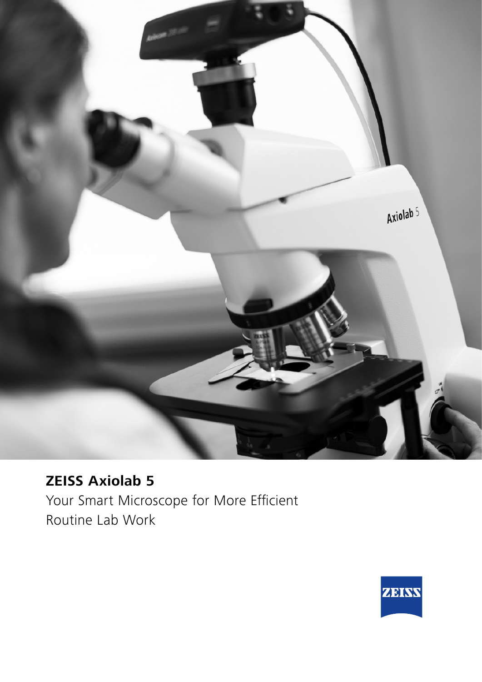

# **ZEISS Axiolab 5**

Your Smart Microscope for More Efficient Routine Lab Work

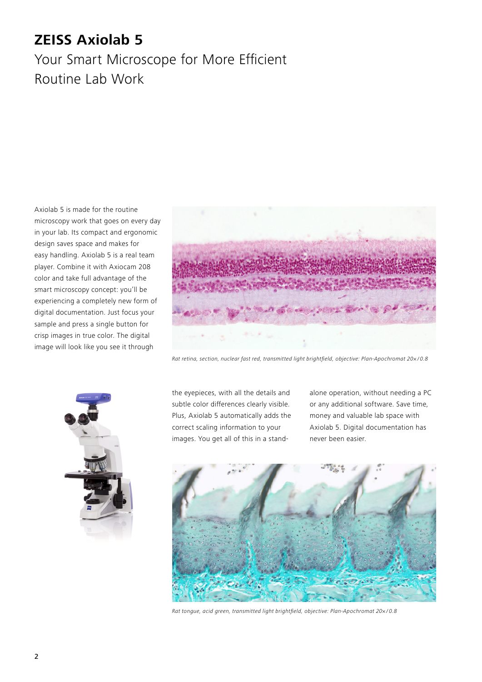## **ZEISS Axiolab 5**

## Your Smart Microscope for More Efficient Routine Lab Work

Axiolab 5 is made for the routine microscopy work that goes on every day in your lab. Its compact and ergonomic design saves space and makes for easy handling. Axiolab 5 is a real team player. Combine it with Axiocam 208 color and take full advantage of the smart microscopy concept: you'll be experiencing a completely new form of digital documentation. Just focus your sample and press a single button for crisp images in true color. The digital image will look like you see it through



Rat retina, section, nuclear fast red, transmitted light brightfield, objective: Plan-Apochromat 20×/0.8



the eyepieces, with all the details and subtle color differences clearly visible. Plus, Axiolab 5 automatically adds the correct scaling information to your images. You get all of this in a stand-

alone operation, without needing a PC or any additional software. Save time, money and valuable lab space with Axiolab 5. Digital documentation has never been easier.



Rat tongue, acid green, transmitted light brightfield, objective: Plan-Apochromat 20x/0.8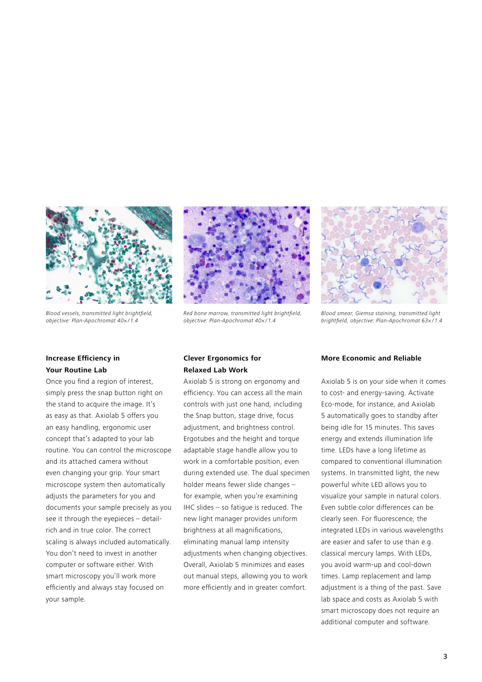

Blood vessels, transmitted light brightfield, objective: Plan-Apochromat 40× / 1.4



Red bone marrow, transmitted light brightfield, objective: Plan-Apochromat 40×/1.4

#### **Increase Efficiency in Your Routine Lab**

Once you find a region of interest, simply press the snap button right on the stand to acquire the image. It's as easy as that. Axiolab 5 offers you an easy handling, ergonomic user concept that's adapted to your lab routine. You can control the microscope and its attached camera without even changing your grip. Your smart microscope system then automatically adjusts the parameters for you and documents your sample precisely as you see it through the eyepieces – detailrich and in true color. The correct scaling is always included automatically. You don't need to invest in another computer or software either. With smart microscopy you'll work more efficiently and always stay focused on your sample.



Axiolab 5 is strong on ergonomy and efficiency. You can access all the main controls with just one hand, including the Snap button, stage drive, focus adjustment, and brightness control. Ergotubes and the height and torque adaptable stage handle allow you to work in a comfortable position, even during extended use. The dual specimen holder means fewer slide changes – for example, when you're examining IHC slides – so fatigue is reduced. The new light manager provides uniform brightness at all magnifications, eliminating manual lamp intensity adjustments when changing objectives. Overall, Axiolab 5 minimizes and eases out manual steps, allowing you to work more efficiently and in greater comfort.



*Blood smear, Giemsa staining, transmitted light*  brightfield, objective: Plan-Apochromat 63× / 1.4

#### **More Economic and Reliable**

Axiolab 5 is on your side when it comes to cost- and energy-saving. Activate Eco-mode, for instance, and Axiolab 5 automatically goes to standby after being idle for 15 minutes. This saves energy and extends illumination life time. LEDs have a long lifetime as compared to conventional illumination systems. In transmitted light, the new powerful white LED allows you to visualize your sample in natural colors. Even subtle color differences can be clearly seen. For fluorescence, the integrated LEDs in various wavelengths are easier and safer to use than e.g. classical mercury lamps. With LEDs, you avoid warm-up and cool-down times. Lamp replacement and lamp adjustment is a thing of the past. Save lab space and costs as Axiolab 5 with smart microscopy does not require an additional computer and software.